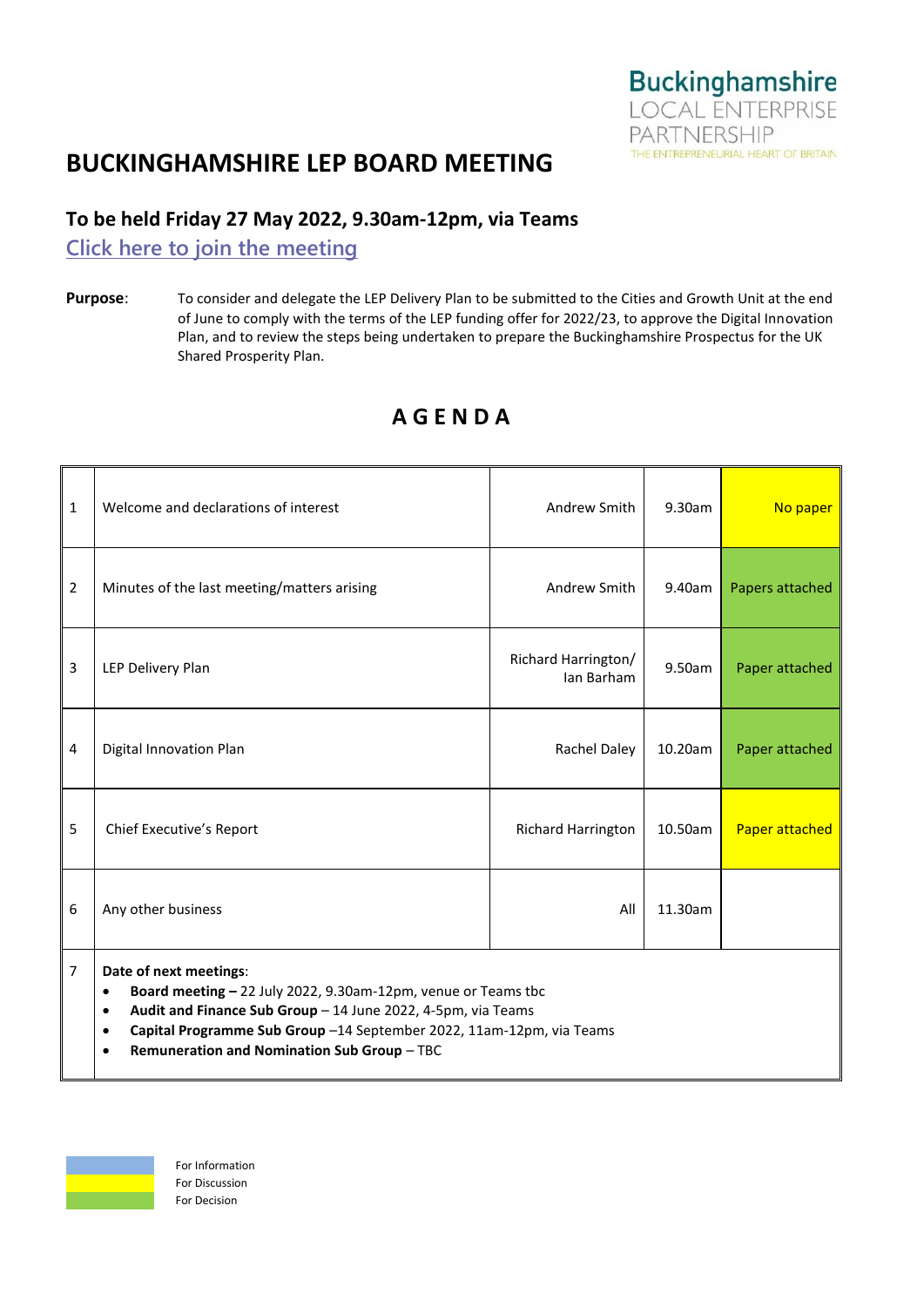| <b>Buckinghamshire</b>               |
|--------------------------------------|
| LOCAL ENTERPRISE                     |
| PARTNERSHIP                          |
| THE ENTREPRENEURIAL HEART OF BRITAIN |

## **BUCKINGHAMSHIRE LEP BOARD MEETING**

## **To be held Friday 27 May 2022, 9.30am-12pm, via Teams**

**[Click here to join the meeting](https://teams.microsoft.com/l/meetup-join/19%3ameeting_ODA5OWU0NWUtZjYxZi00NTBkLWEyYTctMjEwOWJlM2ZlNmI4%40thread.v2/0?context=%7b%22Tid%22%3a%22bd3c2a5b-2d00-4d11-b79c-2aaf41c74bb9%22%2c%22Oid%22%3a%22eb325f16-865c-40da-b5b7-a2df1dea4503%22%7d)**

**Purpose**: To consider and delegate the LEP Delivery Plan to be submitted to the Cities and Growth Unit at the end of June to comply with the terms of the LEP funding offer for 2022/23, to approve the Digital Innovation Plan, and to review the steps being undertaken to prepare the Buckinghamshire Prospectus for the UK Shared Prosperity Plan.

| $\mathbf{1}$   | Welcome and declarations of interest                                                                                                                                                                                                                      | Andrew Smith                      | 9.30am  | No paper              |
|----------------|-----------------------------------------------------------------------------------------------------------------------------------------------------------------------------------------------------------------------------------------------------------|-----------------------------------|---------|-----------------------|
| $\overline{2}$ | Minutes of the last meeting/matters arising                                                                                                                                                                                                               | Andrew Smith                      | 9.40am  | Papers attached       |
| 3              | LEP Delivery Plan                                                                                                                                                                                                                                         | Richard Harrington/<br>Ian Barham | 9.50am  | Paper attached        |
| 4              | Digital Innovation Plan                                                                                                                                                                                                                                   | Rachel Daley                      | 10.20am | Paper attached        |
| 5              | Chief Executive's Report                                                                                                                                                                                                                                  | Richard Harrington                | 10.50am | <b>Paper attached</b> |
| 6              | Any other business                                                                                                                                                                                                                                        | All                               | 11.30am |                       |
| $\overline{7}$ | Date of next meetings:<br>Board meeting - 22 July 2022, 9.30am-12pm, venue or Teams tbc<br>$\bullet$<br>Audit and Finance Sub Group - 14 June 2022, 4-5pm, via Teams<br>$\bullet$<br>Capital Programme Sub Group -14 September 2022, 11am-12pm, via Teams |                                   |         |                       |

## **A G E N D A**

• **Remuneration and Nomination Sub Group** – TBC

For Information For Discussion For Decision